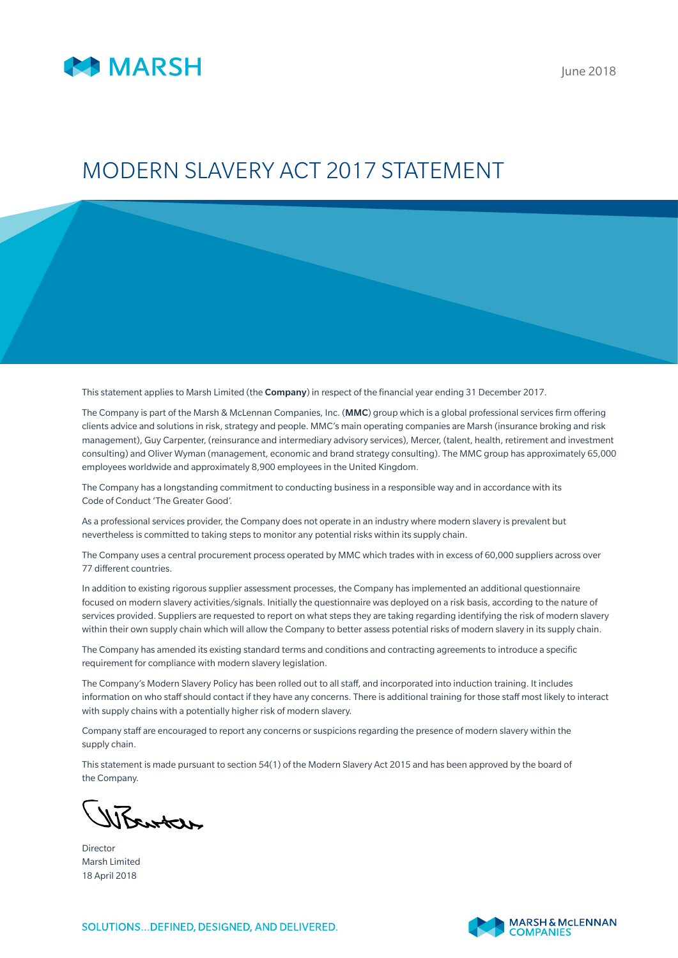

## MODERN SLAVERY ACT 2017 STATEMENT

This statement applies to Marsh Limited (the Company) in respect of the financial year ending 31 December 2017.

The Company is part of the Marsh & McLennan Companies, Inc. (MMC) group which is a global professional services firm offering clients advice and solutions in risk, strategy and people. MMC's main operating companies are Marsh (insurance broking and risk management), Guy Carpenter, (reinsurance and intermediary advisory services), Mercer, (talent, health, retirement and investment consulting) and Oliver Wyman (management, economic and brand strategy consulting). The MMC group has approximately 65,000 employees worldwide and approximately 8,900 employees in the United Kingdom.

The Company has a longstanding commitment to conducting business in a responsible way and in accordance with its Code of Conduct 'The Greater Good'.

As a professional services provider, the Company does not operate in an industry where modern slavery is prevalent but nevertheless is committed to taking steps to monitor any potential risks within its supply chain.

The Company uses a central procurement process operated by MMC which trades with in excess of 60,000 suppliers across over 77 different countries.

In addition to existing rigorous supplier assessment processes, the Company has implemented an additional questionnaire focused on modern slavery activities/signals. Initially the questionnaire was deployed on a risk basis, according to the nature of services provided. Suppliers are requested to report on what steps they are taking regarding identifying the risk of modern slavery within their own supply chain which will allow the Company to better assess potential risks of modern slavery in its supply chain.

The Company has amended its existing standard terms and conditions and contracting agreements to introduce a specific requirement for compliance with modern slavery legislation.

The Company's Modern Slavery Policy has been rolled out to all staff, and incorporated into induction training. It includes information on who staff should contact if they have any concerns. There is additional training for those staff most likely to interact with supply chains with a potentially higher risk of modern slavery.

Company staff are encouraged to report any concerns or suspicions regarding the presence of modern slavery within the supply chain.

This statement is made pursuant to section 54(1) of the Modern Slavery Act 2015 and has been approved by the board of the Company.

WEarter

Director Marsh Limited 18 April 2018